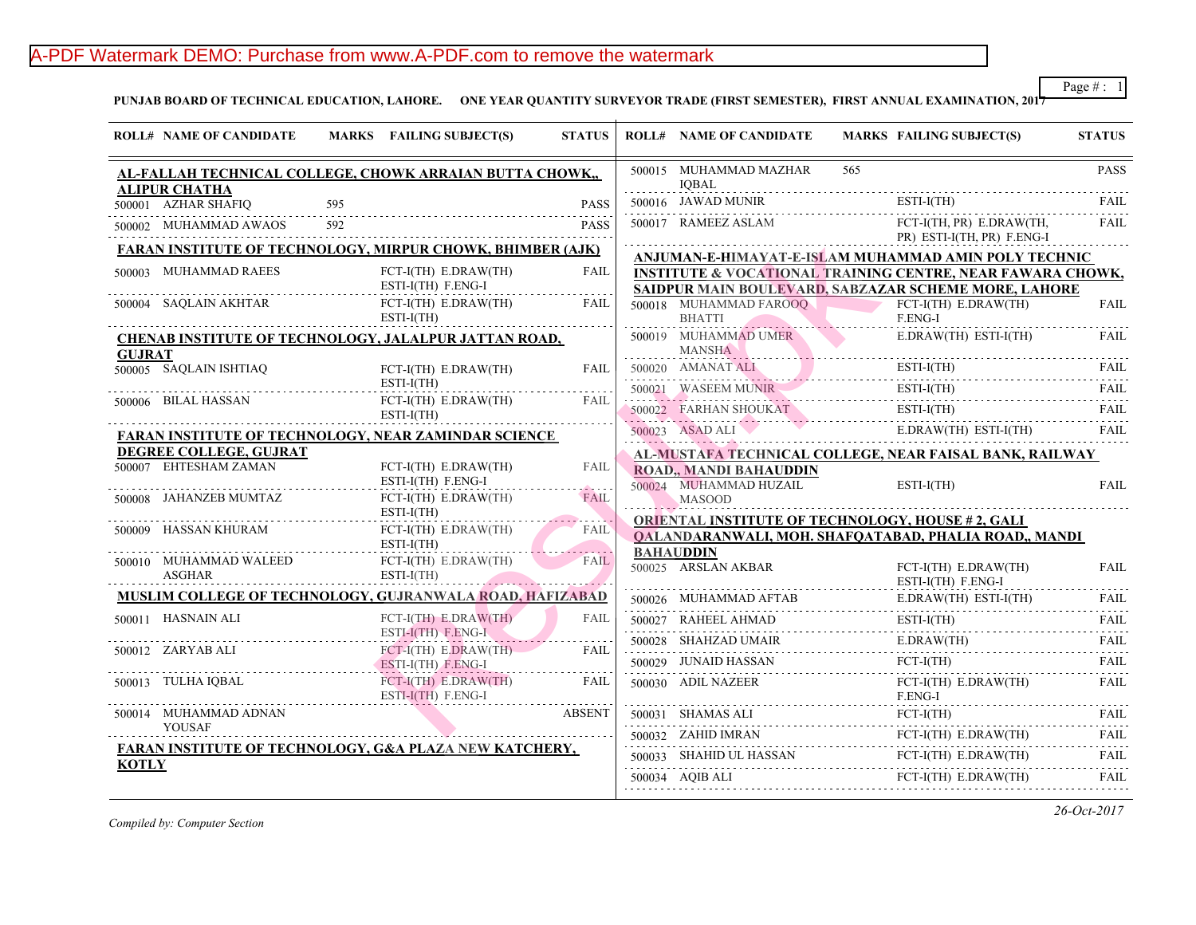# A-PDF Watermark DEMO: Purchase from www.A-PDF.com to remove the watermark

PUNJAB BOARD OF TECHNICAL EDUCATION, LAHORE. ONE YEAR QUANTITY SURVEYOR TRADE (FIRST SEMESTER), FIRST ANNUAL

|                                                                   | <b>ROLL# NAME OF CANDIDATE</b>                              |     | MARKS FAILING SUBJECT(S)                                                      | <b>STATUS</b>         |   | <b>ROLL# NAME OF CANDIDATE</b>                                                        | <b>MARKS FAIL</b>    |
|-------------------------------------------------------------------|-------------------------------------------------------------|-----|-------------------------------------------------------------------------------|-----------------------|---|---------------------------------------------------------------------------------------|----------------------|
|                                                                   | AL-FALLAH TECHNICAL COLLEGE, CHOWK ARRAIAN BUTTA CHOWK.,    |     |                                                                               |                       |   | 500015 MUHAMMAD MAZHAR<br><b>IOBAL</b>                                                | 565                  |
|                                                                   | <b>ALIPUR CHATHA</b><br>500001 AZHAR SHAFIQ                 | 595 |                                                                               | <b>PASS</b>           |   | 500016 JAWAD MUNIR                                                                    | <b>ESTI-</b>         |
|                                                                   | 500002 MUHAMMAD AWAOS                                       | 592 |                                                                               | <b>PASS</b>           |   | 500017 RAMEEZ ASLAM                                                                   | FCT-                 |
| <b>FARAN INSTITUTE OF TECHNOLOGY, MIRPUR CHOWK, BHIMBER (AJK)</b> |                                                             |     |                                                                               |                       |   | <u>ANJUMAN-E-HIMAYAT-E-ISLAM MUHAMM</u>                                               | PR)                  |
|                                                                   | 500003 MUHAMMAD RAEES                                       |     | FCT-I(TH) E.DRAW(TH)<br>ESTI-I(TH) F.ENG-I                                    | FAIL<br>.             |   | <b>INSTITUTE &amp; VOCATIONAL TRAINING CEN</b><br>SAIDPUR MAIN BOULEVARD, SABZAZAR SC |                      |
|                                                                   | $500004 \quad \text{SAQLAIN AKHTAR}$                        |     | $FCT-I(TH)$ $E.DRAW(TH)$<br>$ESTI-I(TH)$                                      | FAIL                  |   | 500018 MUHAMMAD FAROOQ<br><b>BHATTI</b>                                               | FCT-<br>F.EN         |
|                                                                   | CHENAB INSTITUTE OF TECHNOLOGY, JALALPUR JATTAN ROAD,       |     |                                                                               |                       |   | 500019 MUHAMMAD UMER                                                                  | E.DR                 |
| <b>GUJRAT</b>                                                     | 500005 SAQLAIN ISHTIAQ                                      |     | $FCT-I(TH)$ $E.DRAW(TH)$                                                      | <b>FAIL</b>           | . | <b>MANSHA</b>                                                                         | ESTI-                |
|                                                                   |                                                             |     | $ESTI-I(TH)$                                                                  |                       |   | 500020 AMANATALI ESTI                                                                 | <b>ESTI-</b>         |
|                                                                   | 500006 BILAL HASSAN                                         |     | $FCT-I(TH)$ $E.DRAW(TH)$<br>$ESTI-I(TH)$                                      | FAIL                  |   | 500021 WASEEM MUNIRE<br>500022 FARHAN SHOUKAT                                         | ESTI-                |
|                                                                   | <b>FARAN INSTITUTE OF TECHNOLOGY, NEAR ZAMINDAR SCIENCE</b> |     |                                                                               |                       |   | 500023 ASAD ALI                                                                       | E.DR                 |
|                                                                   | DEGREE COLLEGE, GUJRAT                                      |     |                                                                               |                       |   | AL-MUSTAFA TECHNICAL COLLEGE, NEAR                                                    |                      |
|                                                                   | 500007 EHTESHAM ZAMAN                                       |     | FCT-I(TH) E.DRAW(TH)<br>ESTI-I(TH) F.ENG-I                                    | FAIL                  |   | ROAD,, MANDI BAHAUDDIN<br>500024 MUHAMMAD HUZAIL                                      | <b>ESTI-</b>         |
|                                                                   | 500008 JAHANZEB MUMTAZ                                      |     | $FCT-I(TH)$ $E.DRAW(TH)$<br>$ESTI-I(TH)$                                      | <b>FAIL</b>           |   | <b>MASOOD</b>                                                                         |                      |
|                                                                   | 500009 HASSAN KHURAM                                        |     | FCT-I(TH) E.DRAW(TH)<br>$ESTI-I(TH)$                                          | <b>FAIL</b>           |   | <b>ORIENTAL INSTITUTE OF TECHNOLOGY, H</b><br>QALANDARANWALI, MOH. SHAFQATABAD,       |                      |
|                                                                   | 500010 MUHAMMAD WALEED<br>ASGHAR                            | .   | $FCT-I(TH)$ $E.DRAW(TH)$<br>$ESTI-I(TH)$<br><b>Contract Contract Contract</b> | and a company<br>FAIL |   | <b>BAHAUDDIN</b><br>500025 ARSLAN AKBAR                                               | FCT-<br><b>ESTI-</b> |
|                                                                   | MUSLIM COLLEGE OF TECHNOLOGY, GUJRANWALA ROAD, HAFIZABAD    |     |                                                                               |                       |   | 500026 MUHAMMAD AFTAB E.DR                                                            | E.DR                 |
|                                                                   | 500011 HASNAIN ALI                                          |     | $FCT-I(TH)$ $E.DRAW(TH)$<br>ESTI-I(TH) F.ENG-I                                | <b>FAIL</b>           |   | 500027 RAHEEL AHMAD ESTI                                                              | ESTI-                |
|                                                                   | <u>1</u><br>500012 ZARYAB ALI                               |     | $FCT-I(TH)$ $E.DRAW(TH)$                                                      | FAIL                  |   | $500028$ SHAHZAD UMAIR                                                                | E.DR                 |
|                                                                   |                                                             |     | ESTI-I(TH) F.ENG-I                                                            |                       |   | 500029 JUNAID HASSAN FCT-                                                             | FCT-                 |
|                                                                   | 500013 TULHA IQBAL                                          |     | FCT-I(TH) E.DRAW(TH)<br>ESTI-I(TH) F.ENG-I                                    | FAIL                  |   | 500030 ADIL NAZEER                                                                    | FCT-<br>F.EN         |
|                                                                   | 500014 MUHAMMAD ADNAN<br><b>YOUSAF</b>                      |     |                                                                               | <b>ABSENT</b>         |   | 500031 SHAMAS ALI FCT-                                                                | FCT-                 |
|                                                                   | FARAN INSTITUTE OF TECHNOLOGY, G&A PLAZA NEW KATCHERY,      |     |                                                                               |                       |   | 500032 ZAHID IMRAN FCT-                                                               | FCT-                 |
| <b>KOTLY</b>                                                      |                                                             |     |                                                                               |                       |   | 500033 SHAHID UL HASSAN FCT                                                           | FCT-                 |
|                                                                   |                                                             |     |                                                                               |                       |   | 500034 AQIB ALI                                                                       | FCT-                 |
|                                                                   |                                                             |     |                                                                               |                       |   |                                                                                       |                      |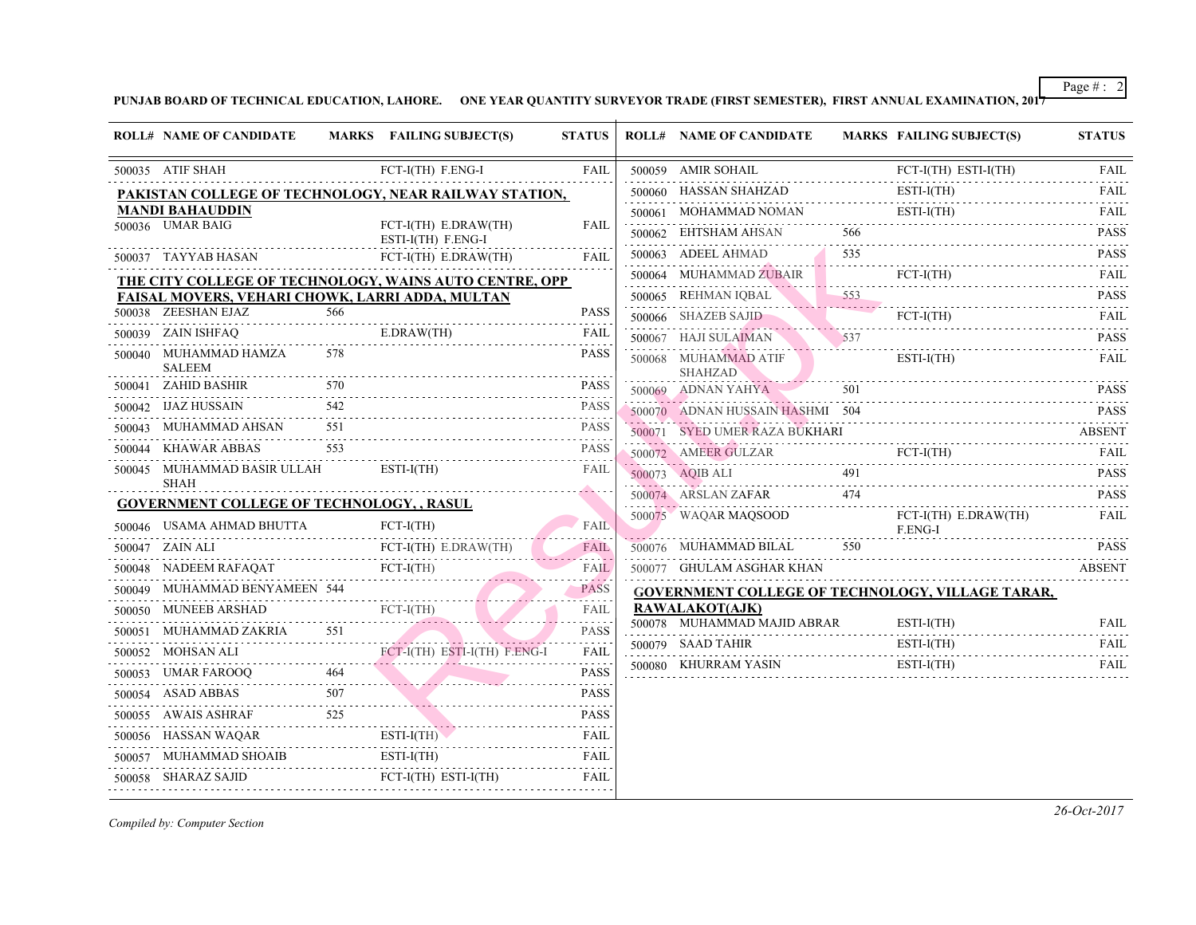|        | <b>ROLL# NAME OF CANDIDATE</b>                                       |     | MARKS FAILING SUBJECT(S)                                                                                                                                            | <b>STATUS</b>    | <b>ROLL# NAME OF CANDIDATE</b>                                                                                                                    | <b>MARKS FAIL</b>                         |              |
|--------|----------------------------------------------------------------------|-----|---------------------------------------------------------------------------------------------------------------------------------------------------------------------|------------------|---------------------------------------------------------------------------------------------------------------------------------------------------|-------------------------------------------|--------------|
|        | 500035 ATIF SHAH                                                     |     | FCT-I(TH) F.ENG-I                                                                                                                                                   | <b>FAIL</b>      | 500059 AMIR SOHAIL                                                                                                                                |                                           | FCT-         |
|        |                                                                      |     | PAKISTAN COLLEGE OF TECHNOLOGY, NEAR RAILWAY STATION,                                                                                                               |                  | 500060 HASSAN SHAHZAD                                                                                                                             |                                           | ESTI-        |
|        | <b>MANDI BAHAUDDIN</b>                                               |     |                                                                                                                                                                     |                  | 500061 MOHAMMAD NOMAN                                                                                                                             |                                           | ESTI-        |
|        | 500036 UMAR BAIG                                                     |     | $FCT-I(TH)$ $E.DRAW(TH)$<br>ESTI-I(TH) F.ENG-I                                                                                                                      | <b>FAIL</b>      | 500062 EHTSHAM AHSAN                                                                                                                              | 566                                       |              |
|        | 500037 TAYYAB HASAN                                                  |     | FCT-I(TH) E.DRAW(TH)                                                                                                                                                | <b>FAIL</b>      | 500063 ADEEL AHMAD                                                                                                                                | 535<br>the property of the control of the |              |
|        |                                                                      |     | <b>THE CITY COLLEGE OF TECHNOLOGY, WAINS AUTO CENTRE, OPP</b>                                                                                                       |                  | 500064 MUHAMMAD ZUBAIR                                                                                                                            |                                           | FCT-         |
|        | <b>FAISAL MOVERS, VEHARI CHOWK, LARRI ADDA, MULTAN</b>               |     |                                                                                                                                                                     |                  | 500065 REHMAN IQBAL 553                                                                                                                           |                                           |              |
|        | 500038 ZEESHAN EJAZ                                                  | 566 |                                                                                                                                                                     | <b>PASS</b>      | 500066 SHAZEB SAJID                                                                                                                               |                                           | FCT-         |
|        | 500039 ZAIN ISHFAQ                                                   |     | E.DRAW(TH) FAIL                                                                                                                                                     |                  | $500067$ HAJI SULAIMAN $537$                                                                                                                      |                                           |              |
|        | 500040 MUHAMMAD HAMZA<br><b>SALEEM</b>                               | 578 |                                                                                                                                                                     | <b>PASS</b>      | $\begin{tabular}{ll} \hline \texttt{500068} & \texttt{MUHAMMAD ATIF} & \texttt{ESTI} \\ & \texttt{SHAHZAD} & \texttt{~~} \\ \hline \end{tabular}$ |                                           |              |
|        |                                                                      |     |                                                                                                                                                                     | <b>PASS</b>      | $500069$ ADNAN YAHYA                                                                                                                              |                                           |              |
|        | 500042 IJAZ HUSSAIN                                                  |     | $\begin{tabular}{l c c c} \hline \text{IJAZ HUSSAIN} & \text{542} & \text{PASS} \\ \hline \text{MUHAMMAD AHSAN} & \text{551} & \text{PASC} \\ \hline \end{tabular}$ |                  | 500070 ADNAN HUSSAIN HASHMI 504                                                                                                                   |                                           |              |
| 500043 |                                                                      |     | AHSAN 551 PASS                                                                                                                                                      |                  | 500071 SYED UMER RAZA BUKHARI                                                                                                                     |                                           |              |
| 500044 | 553<br>KHAWAR ABBAS                                                  |     |                                                                                                                                                                     | <b>PASS</b>      | 500072 AMEER GULZAR FC                                                                                                                            |                                           | FCT-         |
| 500045 | MUHAMMAD BASIR ULLAH<br>SHAH                                         |     | $ESTI-I(TH)$                                                                                                                                                        | <b>FAIL</b>      | $500073$ AQIB ALI 491                                                                                                                             |                                           |              |
|        | <b>GOVERNMENT COLLEGE OF TECHNOLOGY,, RASUL</b>                      |     |                                                                                                                                                                     |                  | $500074 \quad \text{ARSLAN ZAFAR} \qquad \qquad 474$                                                                                              |                                           |              |
|        | 500046 USAMA AHMAD BHUTTA<br>HMAD BHUTTA FOR FU                      |     | $FCT-I(TH)$                                                                                                                                                         | FAIL             | 500075 WAQAR MAQSOOD                                                                                                                              |                                           | FCT-<br>F.EN |
|        | 500047 ZAIN ALI                                                      |     | FCT-I(TH) E.DRAW(TH)                                                                                                                                                | FAIL             | 500076 MUHAMMAD BILAL                                                                                                                             | 550                                       |              |
|        |                                                                      |     | 500048 NADEEM RAFAQAT FCT-I(TH)                                                                                                                                     | FAIL             | 500077 GHULAM ASGHAR KHAN                                                                                                                         |                                           |              |
|        |                                                                      |     | 500049 MUHAMMAD BENYAMEEN 544                                                                                                                                       | <b>PASS</b>      | <b>GOVERNMENT COLLEGE OF TECHNOLOGY</b>                                                                                                           |                                           |              |
|        |                                                                      |     | 500050 MUNEEB ARSHAD FCT-I(TH)                                                                                                                                      | FAIL             | <b>RAWALAKOT(AJK)</b>                                                                                                                             |                                           |              |
|        | 500051 MUHAMMAD ZAKRIA 551                                           |     |                                                                                                                                                                     | .<br><b>PASS</b> | 500078 MUHAMMAD MAJID ABRAR                                                                                                                       |                                           | ESTI-        |
|        | 500052 MOHSAN ALI                                                    |     | HSAN ALI FCT-I(TH) ESTI-I(TH) F.ENG-I                                                                                                                               | <b>FAIL</b>      | 500079 SAAD TAHIR                                                                                                                                 |                                           | ESTI-        |
|        |                                                                      |     | 500053 UMAR FAROOQ 464 PASS                                                                                                                                         | .                | 500080 KHURRAM YASIN                                                                                                                              |                                           | ESTI-        |
|        | 500054 ASAD ABBAS                                                    |     | $507$ PASS                                                                                                                                                          |                  |                                                                                                                                                   |                                           |              |
|        |                                                                      |     | 500055 AWAIS ASHRAF 525 PASS                                                                                                                                        |                  |                                                                                                                                                   |                                           |              |
|        |                                                                      |     | 500056 HASSAN WAQAR ESTI-I(TH) FAIL                                                                                                                                 |                  |                                                                                                                                                   |                                           |              |
|        | $500057 \quad \text{MUHAMMAD SHOAIB} \qquad \qquad \text{ESTI-I(T)}$ |     | $ESTI-I(TH)$                                                                                                                                                        | FAIL             |                                                                                                                                                   |                                           |              |
|        | 500058 SHARAZ SAJID                                                  |     | Z SAJID FCT-I(TH) ESTI-I(TH)                                                                                                                                        | FAIL             |                                                                                                                                                   |                                           |              |
|        |                                                                      |     |                                                                                                                                                                     |                  |                                                                                                                                                   |                                           |              |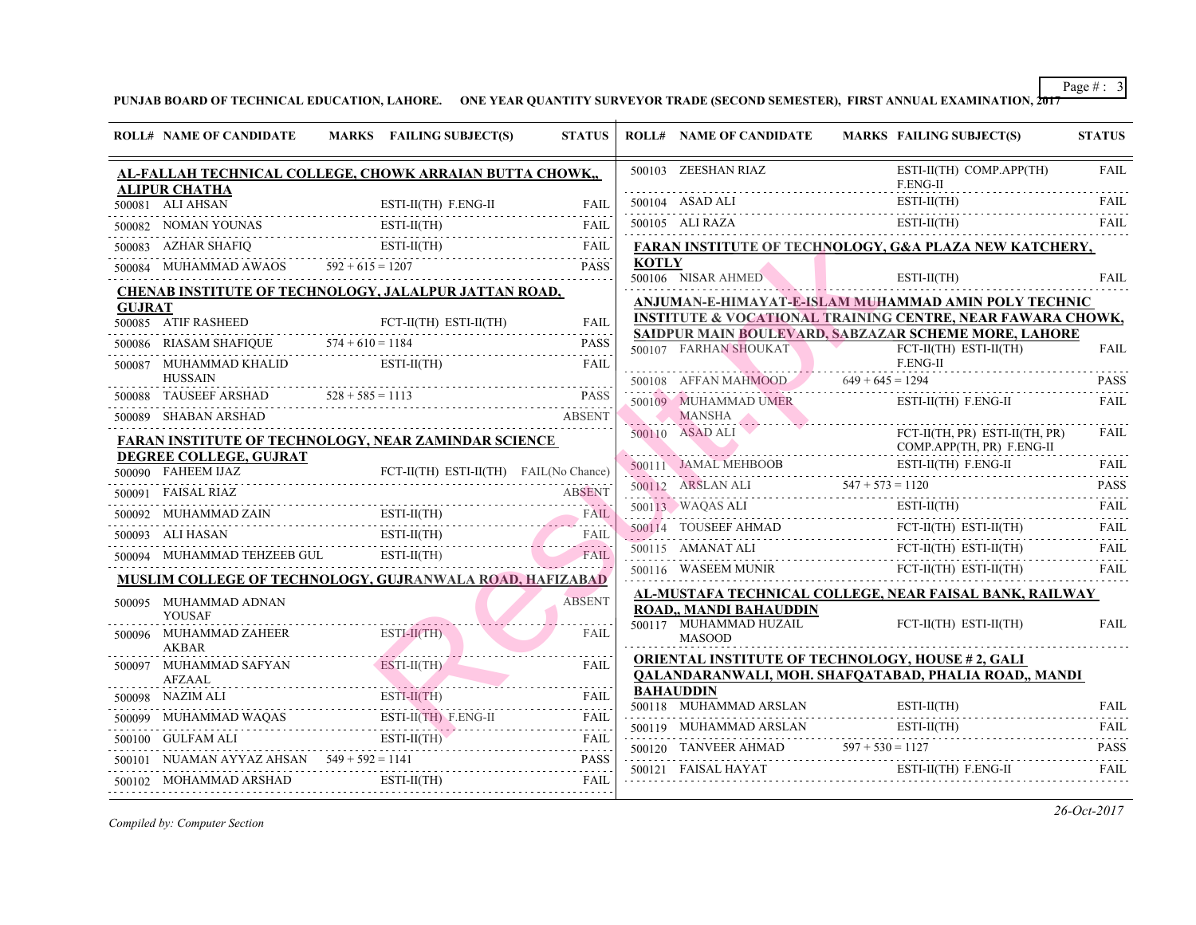|               | <b>ROLL# NAME OF CANDIDATE</b>               | MARKS FAILING SUBJECT(S)                                                                                                                                                                                                                                                                                                                                                                                                                                            | <b>STATUS</b> |              | <b>ROLL# NAME OF CANDIDATE</b>                                            | <b>MARKS FAIL</b>  |
|---------------|----------------------------------------------|---------------------------------------------------------------------------------------------------------------------------------------------------------------------------------------------------------------------------------------------------------------------------------------------------------------------------------------------------------------------------------------------------------------------------------------------------------------------|---------------|--------------|---------------------------------------------------------------------------|--------------------|
|               |                                              | AL-FALLAH TECHNICAL COLLEGE, CHOWK ARRAIAN BUTTA CHOWK,                                                                                                                                                                                                                                                                                                                                                                                                             |               |              | 500103 ZEESHAN RIAZ                                                       | ESTI-<br>F.EN      |
|               | <b>ALIPUR CHATHA</b><br>500081 ALI AHSAN     | $ESTI-II(TH)$ $F.ENG-II$                                                                                                                                                                                                                                                                                                                                                                                                                                            | FAII.         |              |                                                                           | ESTI-              |
|               |                                              |                                                                                                                                                                                                                                                                                                                                                                                                                                                                     |               |              | 500104 ASAD ALI ESTI                                                      | ESTI-              |
|               |                                              | 500082 NOMAN YOUNAS ESTI-II(TH) FAIL                                                                                                                                                                                                                                                                                                                                                                                                                                |               |              | $500105 \quad \text{ALI RAZA}$                                            |                    |
|               |                                              | 500083 AZHAR SHAFIQ ESTI-II(TH) FAIL ESTI-II(TH)                                                                                                                                                                                                                                                                                                                                                                                                                    |               | <b>KOTLY</b> | <b>FARAN INSTITUTE OF TECHNOLOGY, G&amp;A</b>                             |                    |
|               |                                              | 500084 MUHAMMAD AWAOS $592 + 615 = 1207$ PASS                                                                                                                                                                                                                                                                                                                                                                                                                       | <b>PASS</b>   |              | 500106 NISAR AHMED                                                        | ESTI-              |
|               |                                              | <b>CHENAB INSTITUTE OF TECHNOLOGY, JALALPUR JATTAN ROAD,</b>                                                                                                                                                                                                                                                                                                                                                                                                        |               |              | ANJUMAN-E-HIMAYAT-E-ISLAM MUHAMM.                                         |                    |
| <b>GUJRAT</b> | 500085 ATIF RASHEED                          | $FCT-II(TH)$ $ESTI-II(TH)$<br>500085 ATIF RASHEED FCT-II(TH) ESTI-II(TH) FAIL                                                                                                                                                                                                                                                                                                                                                                                       |               |              | <b>INSTITUTE &amp; VOCATIONAL TRAINING CEN</b>                            |                    |
|               |                                              | 500086 RIASAM SHAFIQUE $574 + 610 = 1184$ PASS                                                                                                                                                                                                                                                                                                                                                                                                                      | <b>PASS</b>   |              | <b>SAIDPUR MAIN BOULEVARD, SABZAZAR SC</b><br>500107 FARHAN SHOUKAT       | FCT-               |
|               | 500087 MUHAMMAD KHALID<br><b>HUSSAIN</b>     | $ESTI-II(TH)$                                                                                                                                                                                                                                                                                                                                                                                                                                                       | FAII.         |              |                                                                           | F.EN               |
|               |                                              | $500088$ TAUSEEF ARSHAD $528 + 585 = 1113$ PASS                                                                                                                                                                                                                                                                                                                                                                                                                     |               |              | 500108 AFFAN MAHMOOD 649 + 645 = 129<br>500109 MUHAMMAD UMER              | ESTI-              |
|               |                                              | 500089 SHABAN ARSHAD ABSENT                                                                                                                                                                                                                                                                                                                                                                                                                                         |               |              | MANSHA                                                                    |                    |
|               |                                              | <b>FARAN INSTITUTE OF TECHNOLOGY, NEAR ZAMINDAR SCIENCE</b>                                                                                                                                                                                                                                                                                                                                                                                                         |               |              | 500110 ASAD ALI<br><u> 1988 - Johann Barn, mars francouzski filozof (</u> | FCT-<br><b>COM</b> |
|               | DEGREE COLLEGE, GUJRAT<br>500090 FAHEEM IJAZ | FCT-II(TH) ESTI-II(TH) FAIL(No Chance)                                                                                                                                                                                                                                                                                                                                                                                                                              |               |              | 500111 JAMAL MEHBOOB ESTI                                                 | ESTI-              |
|               | 500091 FAISAL RIAZ                           | UAZ FCT-II(TH) ESTI-II(TH) FAIL(No Chance)                                                                                                                                                                                                                                                                                                                                                                                                                          |               |              | $500112$ ARSLAN ALI $547 + 573 = 112$                                     |                    |
|               |                                              |                                                                                                                                                                                                                                                                                                                                                                                                                                                                     | <b>ABSENT</b> |              | 500113 WAQAS ALI ESTI                                                     | ESTI-              |
|               |                                              | 500092 MUHAMMAD ZAIN ESTI-II(TH) FAIL                                                                                                                                                                                                                                                                                                                                                                                                                               |               |              | 500114 TOUSEEF AHMAD FCT-                                                 | FCT-               |
|               | 500093 ALI HASAN                             | 500093 ALI HASAN ESTI-II(TH) FAIL                                                                                                                                                                                                                                                                                                                                                                                                                                   |               |              | 500115 AMANAT ALI FCT-                                                    | FCT-               |
|               |                                              | 500094 MUHAMMAD TEHZEEB GUL ESTI-II(TH)                                                                                                                                                                                                                                                                                                                                                                                                                             | <b>FAIL</b>   |              |                                                                           | FCT-               |
|               |                                              | <b>MUSLIM COLLEGE OF TECHNOLOGY, GUJRANWALA ROAD, HAFIZABAD</b>                                                                                                                                                                                                                                                                                                                                                                                                     |               |              | 500116 WASEEM MUNIR FCT                                                   |                    |
|               | 500095 MUHAMMAD ADNAN                        |                                                                                                                                                                                                                                                                                                                                                                                                                                                                     | <b>ABSENT</b> |              | AL-MUSTAFA TECHNICAL COLLEGE, NEAR<br><b>ROAD., MANDI BAHAUDDIN</b>       |                    |
|               | <b>YOUSAF</b><br>500096 MUHAMMAD ZAHEER      | $ESTI-II(TH)$                                                                                                                                                                                                                                                                                                                                                                                                                                                       | FAIL          |              | 500117 MUHAMMAD HUZAIL<br><b>MASOOD</b>                                   | FCT-               |
|               | <b>AKBAR</b>                                 | <u> 2000 - 2000 - 2000 - 2000 - 2000 - 2000 - 2000 - 2000 - 2000 - 2000 - 2000 - 2000 - 2000 - 2000 - 2000 - 20</u>                                                                                                                                                                                                                                                                                                                                                 |               |              | ORIENTAL INSTITUTE OF TECHNOLOGY, H                                       |                    |
|               |                                              | $\begin{tabular}{lllllllll} \multicolumn{2}{c}{\textbf{500097}} & \multicolumn{2}{c}{\textbf{MULTAUMAD SATYAN}} & \multicolumn{2}{c}{\textbf{ESTI-II(TH)}} & \multicolumn{2}{c}{\textbf{FAIL}} \\ & \multicolumn{2}{c}{\textbf{AFLAAL}} & \multicolumn{2}{c}{\textbf{AFLA}} & \multicolumn{2}{c}{\textbf{FALL}} \\ \multicolumn{2}{c}{\textbf{AFLAAL}} & \multicolumn{2}{c}{\textbf{AFLA}} & \multicolumn{2}{c}{\textbf{FALA}} & \multicolumn{2}{c}{\textbf{FALA}}$ |               |              | OALANDARANWALI, MOH. SHAFOATABAD,                                         |                    |
|               | 500098 NAZIM ALI                             | $500098$ NAZIM ALI ESTI-II(TH) FAIL ESTI-II(TH)                                                                                                                                                                                                                                                                                                                                                                                                                     |               |              | <b>BAHAUDDIN</b><br>500118 MUHAMMAD ARSLAN                                | ESTI-              |
|               |                                              | 500099 MUHAMMAD WAQAS ESTI-II(TH) F.ENG-II FAIL                                                                                                                                                                                                                                                                                                                                                                                                                     |               |              |                                                                           |                    |
|               |                                              | $\begin{tabular}{ll} \textbf{500100} & \textbf{GULEAM ALI} & & \textbf{ESTI-II(TH)}\\ \end{tabular} \begin{tabular}{ll} \textbf{FAIL} & \textbf{FAIL} \\ \end{tabular}$                                                                                                                                                                                                                                                                                             |               |              | 500119 MUHAMMAD ARSLAN                                                    | ESTI-              |
|               |                                              | 500101 NUAMAN AYYAZ AHSAN $549 + 592 = 1141$ PASS                                                                                                                                                                                                                                                                                                                                                                                                                   |               |              | 500120 TANVEER AHMAD $597 + 530 = 112'$                                   |                    |
|               |                                              | $\begin{tabular}{lllllllllll} \textbf{500102} & \textbf{MOHAMMAD ARSHAD} & \textbf{ESTI-II(TH)} & \textbf{FAIL} \\ \textbf{1011} & \textbf{111} & \textbf{121} & \textbf{131} \\ \textbf{121} & \textbf{131} & \textbf{141} & \textbf{151} \\ \textbf{131} & \textbf{131} & \textbf{151} & \textbf{161} \\ \textbf{161} & \textbf{181} & \textbf{181} & \textbf{181} \\ \textbf{181} & \textbf{181} &$                                                              | FAIL          |              | 500121 FAISAL HAYAT                                                       | ESTI-              |
|               |                                              |                                                                                                                                                                                                                                                                                                                                                                                                                                                                     |               |              |                                                                           |                    |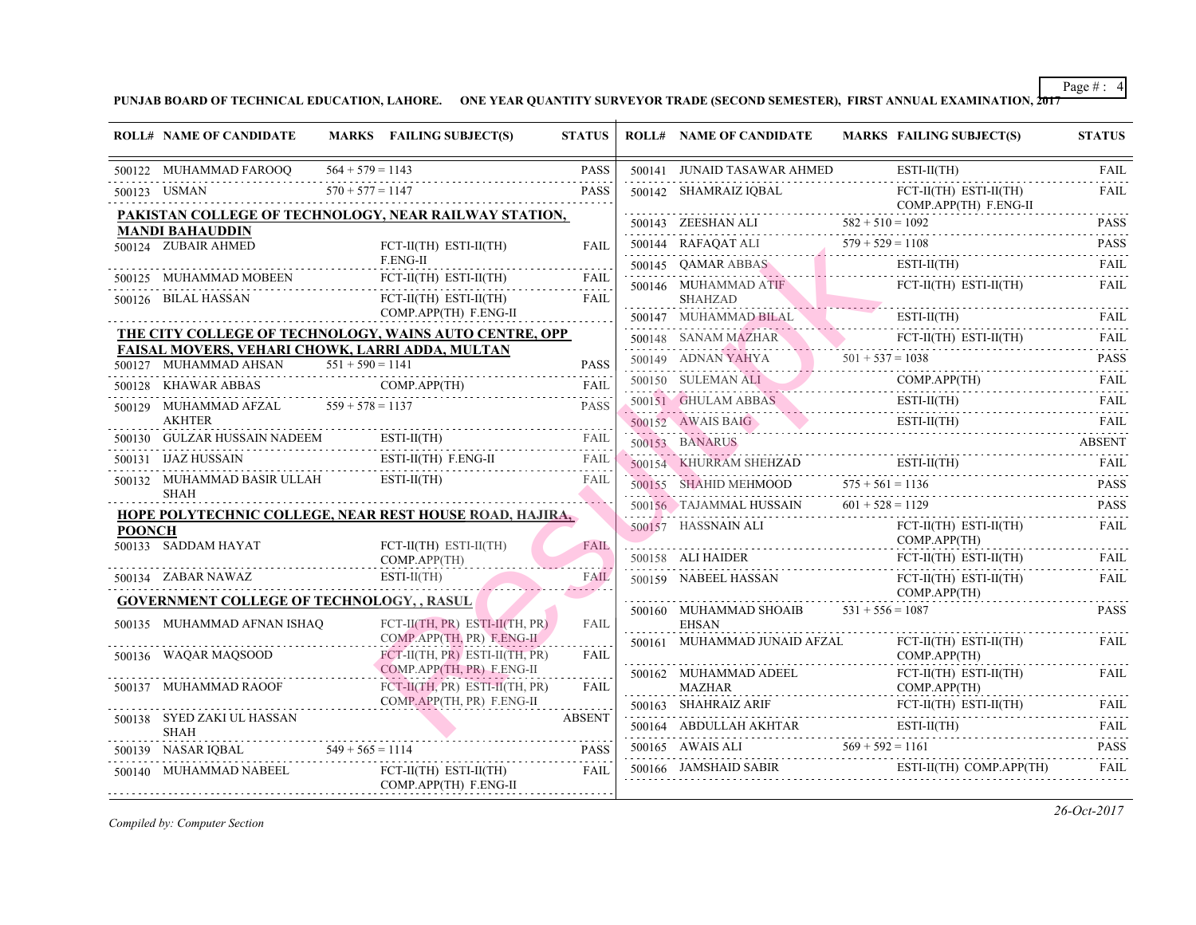|               | <b>ROLL# NAME OF CANDIDATE</b>                                           |                    | MARKS FAILING SUBJECT(S)                                       | <b>STATUS</b> | <b>ROLL# NAME OF CANDIDATE</b>                           | <b>MARKS FAIL</b>   |
|---------------|--------------------------------------------------------------------------|--------------------|----------------------------------------------------------------|---------------|----------------------------------------------------------|---------------------|
|               | 500122 MUHAMMAD FAROOQ                                                   | $564 + 579 = 1143$ |                                                                | <b>PASS</b>   | 500141 JUNAID TASAWAR AHMED                              | ESTI-               |
|               | 500123 USMAN                                                             | $570 + 577 = 1147$ |                                                                | <b>PASS</b>   | 500142 SHAMRAIZ IQBAL                                    | FCT-                |
|               |                                                                          |                    | PAKISTAN COLLEGE OF TECHNOLOGY, NEAR RAILWAY STATION,          |               |                                                          | COM                 |
|               | <b>MANDI BAHAUDDIN</b>                                                   |                    |                                                                |               | 500143 ZEESHAN ALI $582 + 510 = 1091$                    |                     |
|               | 500124 ZUBAIR AHMED                                                      |                    | $FCT-II(TH)$ $ESTI-II(TH)$<br>F.ENG-II                         | FAII.         | 500144 RAFAQAT ALI $579 + 529 = 110$                     | ESTI-               |
|               | 500125 MUHAMMAD MOBEEN                                                   |                    | FCT-II(TH) ESTI-II(TH)                                         | <b>FAIL</b>   | 500145 QAMAR ABBAS ES<br>500146 MUHAMMAD ATIF            | FCT-                |
|               | 500126 BILAL HASSAN                                                      |                    | FCT-II(TH) ESTI-II(TH)                                         | <b>FAIL</b>   | SHAHZAD                                                  |                     |
|               |                                                                          |                    | COMP.APP(TH) F.ENG-II                                          |               | 500147 MUHAMMAD BILAL                                    | ESTI-               |
|               |                                                                          |                    | THE CITY COLLEGE OF TECHNOLOGY, WAINS AUTO CENTRE, OPP         |               | 500148 SANAM MAZHAR FC                                   | FCT-                |
|               | FAISAL MOVERS, VEHARI CHOWK, LARRI ADDA, MULTAN<br>500127 MUHAMMAD AHSAN | $551 + 590 = 1141$ |                                                                | <b>PASS</b>   | 500149 ADNAN YAHYA 501 + 537 = 103                       |                     |
|               |                                                                          |                    | 500128 KHAWAR ABBAS COMP.APP(TH)                               | FAIL          | 500150 SULEMAN ALI CO                                    | <b>COM</b>          |
|               | 500129 MUHAMMAD AFZAL $559 + 578 = 1137$                                 |                    |                                                                | <b>PASS</b>   | 500151 GHULAM ABBAS EST                                  | ESTI-               |
|               | <b>AKHTER</b>                                                            |                    |                                                                |               | 500152 AWAIS BAIG                                        | ESTI-               |
|               |                                                                          |                    | 500130 GULZAR HUSSAIN NADEEM ESTI-II(TH) FAIL                  |               |                                                          |                     |
|               | 500131 IJAZ HUSSAIN                                                      |                    | IN ESTI-II(TH) F.ENG-II FAIL                                   |               | 500154 KHURRAM SHEHZAD                                   | ESTI-               |
|               | 500132 MUHAMMAD BASIR ULLAH ESTI-II(TH)<br><b>SHAH</b>                   |                    |                                                                | FAIL          | 500155 SHAHID MEHMOOD 575 + 561 = 113                    |                     |
|               |                                                                          |                    | <b>HOPE POLYTECHNIC COLLEGE, NEAR REST HOUSE ROAD, HAJIRA,</b> |               | 500156 TAJAMMAL HUSSAIN $601 + 528 = 112$                |                     |
| <b>POONCH</b> |                                                                          |                    |                                                                |               | 500157 HASSNAIN ALI                                      | FCT-                |
|               | 500133 SADDAM HAYAT                                                      |                    | FCT-II(TH) ESTI-II(TH)<br>COMP.APP(TH)                         | <b>FAIL</b>   | 500158 ALI HAIDER FCT-                                   | <b>COM</b><br>FCT-  |
|               | 500134 ZABAR NAWAZ                                                       |                    | $ESTI-II(TH)$                                                  | <b>FAIL</b>   | 500159 NABEEL HASSAN                                     | FCT-                |
|               | <b>GOVERNMENT COLLEGE OF TECHNOLOGY, , RASUL</b>                         |                    |                                                                |               |                                                          | <b>COM</b>          |
|               | 500135 MUHAMMAD AFNAN ISHAO                                              |                    | FCT-II(TH, PR) ESTI-II(TH, PR)                                 | <b>FAIL</b>   | 500160 MUHAMMAD SHOAIB $531 + 556 = 108$<br><b>EHSAN</b> |                     |
|               |                                                                          |                    | COMP.APP(TH, PR) F.ENG-II                                      |               | 500161 MUHAMMAD JUNAID AFZAL                             | FCT-                |
|               | 500136 WAQAR MAQSOOD                                                     |                    | FCT-II(TH, PR) ESTI-II(TH, PR)<br>COMP.APP(TH, PR) F.ENG-II    | FAIL          |                                                          | <b>COM</b>          |
|               | 500137 MUHAMMAD RAOOF                                                    |                    | FCT-II(TH, PR) ESTI-II(TH, PR)                                 | <b>FAIL</b>   | 500162 MUHAMMAD ADEEL<br><b>MAZHAR</b>                   | FCT-l<br><b>COM</b> |
|               |                                                                          |                    | COMP.APP(TH, PR) F.ENG-II                                      |               | 500163 SHAHRAIZ ARIF                                     | FCT-                |
|               | 500138 SYED ZAKI UL HASSAN<br><b>SHAH</b>                                |                    |                                                                | <b>ABSENT</b> | 500164 ABDULLAH AKHTAR ESTI                              | ESTI-               |
|               | $549 + 565 = 1114$<br>500139 NASAR IQBAL                                 |                    |                                                                | <b>PASS</b>   | 500165 AWAIS ALI $569 + 592 = 116$                       |                     |
|               | 500140 MUHAMMAD NABEEL                                                   |                    | $FCT-II(TH)$ $ESTI-II(TH)$<br>COMP.APP(TH) F.ENG-II            | <b>FAIL</b>   | 500166 JAMSHAID SABIR                                    | ESTI-               |
|               |                                                                          |                    |                                                                |               |                                                          |                     |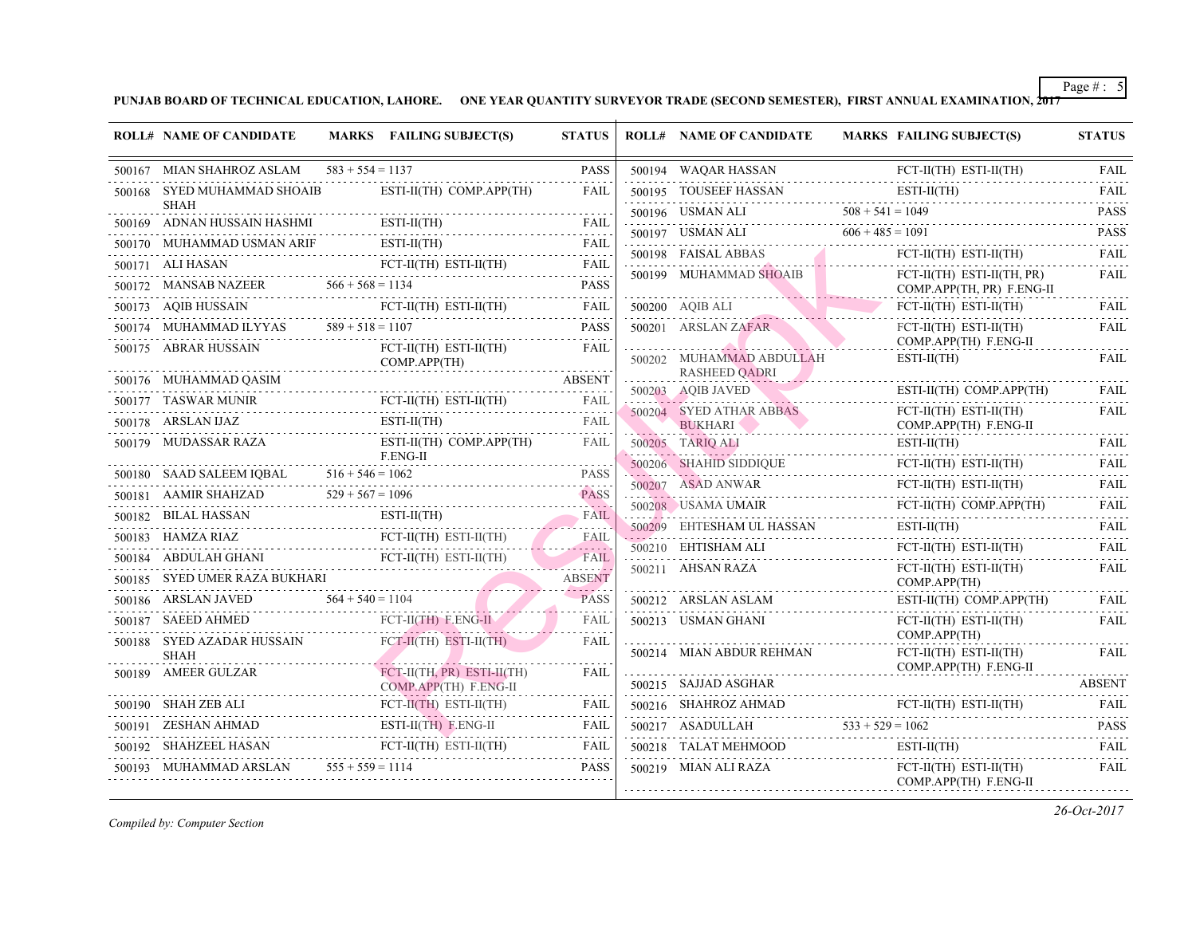| <b>ROLL# NAME OF CANDIDATE</b>                                                                                                                                                                                                                                                                                                                                                                               |                    | MARKS FAILING SUBJECT(S)                                                           | <b>STATUS</b> | <b>ROLL# NAME OF CANDIDATE</b>                                                                                                                                                                                                                                   | <b>MARKS FAIL</b>          |
|--------------------------------------------------------------------------------------------------------------------------------------------------------------------------------------------------------------------------------------------------------------------------------------------------------------------------------------------------------------------------------------------------------------|--------------------|------------------------------------------------------------------------------------|---------------|------------------------------------------------------------------------------------------------------------------------------------------------------------------------------------------------------------------------------------------------------------------|----------------------------|
| 500167 MIAN SHAHROZ ASLAM                                                                                                                                                                                                                                                                                                                                                                                    | $583 + 554 = 1137$ |                                                                                    | <b>PASS</b>   | 500194 WAQAR HASSAN                                                                                                                                                                                                                                              | FCT-                       |
| 500168 SYED MUHAMMAD SHOAIB                                                                                                                                                                                                                                                                                                                                                                                  |                    | ESTI-II(TH) COMP.APP(TH)                                                           | <b>FAIL</b>   | 500195 TOUSEEF HASSAN                                                                                                                                                                                                                                            | ESTI-                      |
| <b>SHAH</b><br>500169 ADNAN HUSSAIN HASHMI                                                                                                                                                                                                                                                                                                                                                                   |                    |                                                                                    |               | 500196 USMAN ALI $508 + 541 = 104$                                                                                                                                                                                                                               |                            |
| ${\begin{minipage}{0.500170.25\textwidth} \centering\textbf{500170. FAIL} \hspace*{-0.08cm} \textbf{FAIL} \hspace*{-0.08cm} \textbf{FAIL} \hspace*{-0.08cm} \textbf{FAIL} \hspace*{-0.08cm} \textbf{FAIL} \hspace*{-0.08cm} \textbf{FAIL} \hspace*{-0.08cm} \textbf{FAIL} \hspace*{-0.08cm} \textbf{FAIL} \hspace*{-0.08cm} \textbf{FAIL} \hspace*{-0.08cm} \textbf{FAIL} \hspace*{-0.08cm} \textbf{FAIL} \$ |                    | $\text{I} \quad \text{ESTI-II(TH)} \quad \text{FAIL}$                              |               | 500197 USMAN ALI $606 + 485 = 109$                                                                                                                                                                                                                               |                            |
|                                                                                                                                                                                                                                                                                                                                                                                                              |                    |                                                                                    |               |                                                                                                                                                                                                                                                                  | FCT-                       |
| $\begin{tabular}{lllllllll} \hline 500171 & \text{ALI HASAN} & \text{FCT-II(TH) ESTI-II(TH) } & \text{FAIL} \\ \hline \end{tabular}$                                                                                                                                                                                                                                                                         |                    |                                                                                    |               | 500199 MUHAMMAD SHOAIB                                                                                                                                                                                                                                           | FCT-<br><b>COM</b>         |
| $\texttt{500173}\quad\text{AQIB HUSSAIN}\qquad\qquad \texttt{FCT-II(TH)}\quad\texttt{ESTI-II(TH)}\qquad\qquad \texttt{FAIL}$                                                                                                                                                                                                                                                                                 |                    |                                                                                    |               | 500200 AQIB ALI                                                                                                                                                                                                                                                  | FCT-                       |
| 500174 MUHAMMAD ILYYAS $589 + 518 = 1107$<br>500174 MUHAMMAD ILYYAS $589 + 518 = 1107$ PASS                                                                                                                                                                                                                                                                                                                  |                    |                                                                                    |               | 500201 ARSLAN ZAFAR                                                                                                                                                                                                                                              | FCT-                       |
| 500175 ABRAR HUSSAIN                                                                                                                                                                                                                                                                                                                                                                                         |                    | FCT-II(TH) ESTI-II(TH) FAIL<br>COMP.APP(TH)                                        |               | <u> Alexandria de la provincia de la provincia de la provincia de la provincia de la provincia de la provincia de la provincia de la provincia de la provincia de la provincia de la provincia de la provincia de la provincia d</u><br>500202 MUHAMMAD ABDULLAH | <b>COM</b><br><b>ESTI-</b> |
| 500176 MUHAMMAD QASIM                                                                                                                                                                                                                                                                                                                                                                                        |                    | MMAD QASIM ABSENT                                                                  |               | RASHEED QADRI                                                                                                                                                                                                                                                    |                            |
| ${\tt 500177} \quad {\tt TASWAR MUNIR} \quad {\tt FCT-II(TH) \quad ESTI-II(TH) \quad \  \  \, {\tt FAIL}}$                                                                                                                                                                                                                                                                                                   |                    |                                                                                    |               | 500203 AQIB JAVED EST                                                                                                                                                                                                                                            | ESTI-                      |
| $\texttt{500178} \quad \texttt{ARSLAN IJAZ} \qquad \texttt{ESTI-I(TH)} \qquad \texttt{FAIL}$                                                                                                                                                                                                                                                                                                                 |                    | $ESTI-II(TH)$                                                                      |               | 500204 SYED ATHAR ABBAS<br>BUKHARI NAMARI PROPERTY                                                                                                                                                                                                               | FCT-<br><b>COM</b>         |
| 500179 MUDASSAR RAZA                                                                                                                                                                                                                                                                                                                                                                                         |                    | ESTI-II(TH) COMP.APP(TH)                                                           | FAIL          | 500205 TARIO ALI                                                                                                                                                                                                                                                 | ESTI-                      |
|                                                                                                                                                                                                                                                                                                                                                                                                              |                    | F.ENG-II                                                                           |               | 500206 SHAHID SIDDIQUE<br>SIDDIQUE                                                                                                                                                                                                                               | FCT-                       |
| 500180 SAAD SALEEM IQBAL $516 + 546 = 1062$ PASS<br>500181 AAMIR SHAHZAD $529 + 567 = 1096$ PASS                                                                                                                                                                                                                                                                                                             |                    |                                                                                    | <b>PASS</b>   | 500207 ASAD ANWAR                                                                                                                                                                                                                                                | FCT-                       |
| 500182 BILAL HASSAN ESTI-II(TH) FAIL                                                                                                                                                                                                                                                                                                                                                                         |                    |                                                                                    |               | 500208 USAMA UMAIR FCT-                                                                                                                                                                                                                                          | FCT-                       |
| $\begin{tabular}{lllllllllll} \hline 500183 & HAMZA RIAZ & FCT-II(TH) & ESTI-I(TH) & FAIL \\ \hline \end{tabular}$                                                                                                                                                                                                                                                                                           |                    |                                                                                    |               | 500209 EHTESHAM UL HASSAN                                                                                                                                                                                                                                        | <b>ESTI-</b>               |
| 500184 ABDULAH GHANI FCT-II(TH) ESTI-II(TH) FAIL                                                                                                                                                                                                                                                                                                                                                             |                    |                                                                                    |               | 500210 EHTISHAM ALI<br>500211 AHSAN RAZA                                                                                                                                                                                                                         | FCT-<br>FCT-               |
| 500185 SYED UMER RAZA BUKHARI                                                                                                                                                                                                                                                                                                                                                                                |                    | AZA BUKHARI ABSENT                                                                 | <b>ABSENT</b> |                                                                                                                                                                                                                                                                  | <b>COM</b>                 |
| 500186 ARSLAN JAVED $564 + 540 = 1104$ PASS                                                                                                                                                                                                                                                                                                                                                                  |                    |                                                                                    |               | 500212 ARSLAN ASLAM                                                                                                                                                                                                                                              | <b>ESTI-</b>               |
| 500187 SAEED AHMED                                                                                                                                                                                                                                                                                                                                                                                           |                    | AHMED FCT-II(TH) F.ENG-II                                                          | FAIL          | 500213 USMAN GHANI                                                                                                                                                                                                                                               | FCT-<br><b>COM</b>         |
| 500188 SYED AZADAR HUSSAIN FCT-II(TH) ESTI-II(TH)<br><b>SHAH</b>                                                                                                                                                                                                                                                                                                                                             |                    |                                                                                    | FAIL          | 500214 MIAN ABDUR REHMAN                                                                                                                                                                                                                                         | FCT-                       |
| .<br>500189 AMEER GULZAR                                                                                                                                                                                                                                                                                                                                                                                     |                    | FCT-II(TH, PR) ESTI-II(TH)                                                         | <b>FAIL</b>   |                                                                                                                                                                                                                                                                  | <b>COM</b>                 |
|                                                                                                                                                                                                                                                                                                                                                                                                              |                    | $COMP.APP(TH)$ $F.ENG-II$<br>$\text{FCT-I}(\text{TH})$ $\text{ESTI-II}(\text{TH})$ | FAIL          | 500215 SAJJAD ASGHAR<br>.                                                                                                                                                                                                                                        |                            |
| 500190 SHAH ZEB ALI FCT-II(TH) I                                                                                                                                                                                                                                                                                                                                                                             |                    |                                                                                    |               | 500216 SHAHROZ AHMAD FCT-<br>500217 ASADULLAH 533 + 529 = 106                                                                                                                                                                                                    |                            |
| 500191 ZESHAN AHMAD ESTI-II(TH) F.ENG-II FAIL FAIL<br>$\begin{tabular}{lllllllllll} \hline 500192 & SHAHZEEL HASAN & FCT-II(TH) & ESTI-I(TH) & FAIL \\ \hline \end{tabular}$                                                                                                                                                                                                                                 |                    |                                                                                    | FAIL          | 500218 TALAT MEHMOOD                                                                                                                                                                                                                                             | ESTI-                      |
| 500193 MUHAMMAD ARSLAN $555 + 559 = 1114$                                                                                                                                                                                                                                                                                                                                                                    |                    |                                                                                    | <b>PASS</b>   | 500219 MIAN ALI RAZA                                                                                                                                                                                                                                             | FCT-                       |
|                                                                                                                                                                                                                                                                                                                                                                                                              |                    |                                                                                    |               |                                                                                                                                                                                                                                                                  | <b>COM</b>                 |